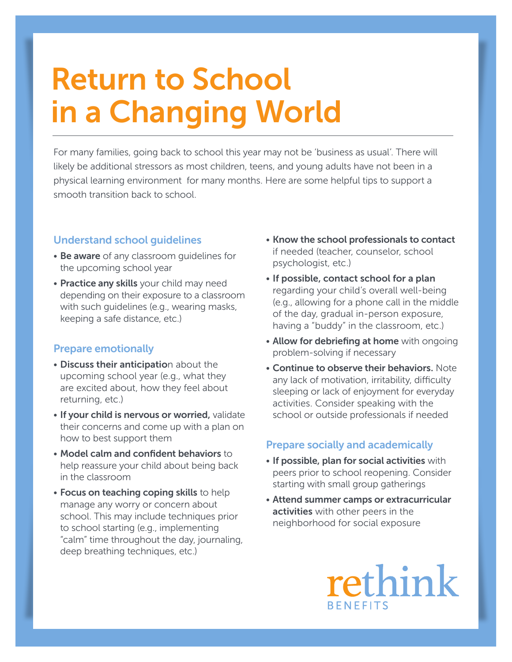# Return to School in a Changing World

For many families, going back to school this year may not be 'business as usual'. There will likely be additional stressors as most children, teens, and young adults have not been in a physical learning environment for many months. Here are some helpful tips to support a smooth transition back to school.

## Understand school guidelines

- Be aware of any classroom guidelines for the upcoming school year
- Practice any skills your child may need depending on their exposure to a classroom with such guidelines (e.g., wearing masks, keeping a safe distance, etc.)

## Prepare emotionally

- Discuss their anticipation about the upcoming school year (e.g., what they are excited about, how they feel about returning, etc.)
- If your child is nervous or worried, validate their concerns and come up with a plan on how to best support them
- Model calm and confident behaviors to help reassure your child about being back in the classroom
- Focus on teaching coping skills to help manage any worry or concern about school. This may include techniques prior to school starting (e.g., implementing "calm" time throughout the day, journaling, deep breathing techniques, etc.)
- Know the school professionals to contact if needed (teacher, counselor, school psychologist, etc.)
- If possible, contact school for a plan regarding your child's overall well-being (e.g., allowing for a phone call in the middle of the day, gradual in-person exposure, having a "buddy" in the classroom, etc.)
- Allow for debriefing at home with ongoing problem-solving if necessary
- Continue to observe their behaviors. Note any lack of motivation, irritability, difficulty sleeping or lack of enjoyment for everyday activities. Consider speaking with the school or outside professionals if needed

## Prepare socially and academically

- If possible, plan for social activities with peers prior to school reopening. Consider starting with small group gatherings
- Attend summer camps or extracurricular activities with other peers in the neighborhood for social exposure